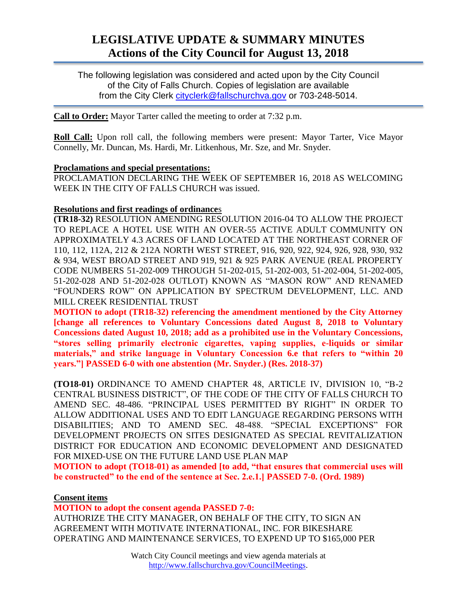# **LEGISLATIVE UPDATE & SUMMARY MINUTES Actions of the City Council for August 13, 2018**

The following legislation was considered and acted upon by the City Council of the City of Falls Church. Copies of legislation are available from the City Clerk [cityclerk@fallschurchva.gov](mailto:cityclerk@fallschurchva.gov) or 703-248-5014.

**Call to Order:** Mayor Tarter called the meeting to order at 7:32 p.m.

**Roll Call:** Upon roll call, the following members were present: Mayor Tarter, Vice Mayor Connelly, Mr. Duncan, Ms. Hardi, Mr. Litkenhous, Mr. Sze, and Mr. Snyder.

#### **Proclamations and special presentations:**

PROCLAMATION DECLARING THE WEEK OF SEPTEMBER 16, 2018 AS WELCOMING WEEK IN THE CITY OF FALLS CHURCH was issued.

## **Resolutions and first readings of ordinance**s

**(TR18-32)** RESOLUTION AMENDING RESOLUTION 2016-04 TO ALLOW THE PROJECT TO REPLACE A HOTEL USE WITH AN OVER-55 ACTIVE ADULT COMMUNITY ON APPROXIMATELY 4.3 ACRES OF LAND LOCATED AT THE NORTHEAST CORNER OF 110, 112, 112A, 212 & 212A NORTH WEST STREET, 916, 920, 922, 924, 926, 928, 930, 932 & 934, WEST BROAD STREET AND 919, 921 & 925 PARK AVENUE (REAL PROPERTY CODE NUMBERS 51-202-009 THROUGH 51-202-015, 51-202-003, 51-202-004, 51-202-005, 51-202-028 AND 51-202-028 OUTLOT) KNOWN AS "MASON ROW" AND RENAMED "FOUNDERS ROW" ON APPLICATION BY SPECTRUM DEVELOPMENT, LLC. AND MILL CREEK RESIDENTIAL TRUST

**MOTION to adopt (TR18-32) referencing the amendment mentioned by the City Attorney [change all references to Voluntary Concessions dated August 8, 2018 to Voluntary Concessions dated August 10, 2018; add as a prohibited use in the Voluntary Concessions, "stores selling primarily electronic cigarettes, vaping supplies, e-liquids or similar materials," and strike language in Voluntary Concession 6.e that refers to "within 20 years."] PASSED 6-0 with one abstention (Mr. Snyder.) (Res. 2018-37)**

**(TO18-01)** ORDINANCE TO AMEND CHAPTER 48, ARTICLE IV, DIVISION 10, "B-2 CENTRAL BUSINESS DISTRICT", OF THE CODE OF THE CITY OF FALLS CHURCH TO AMEND SEC. 48-486. "PRINCIPAL USES PERMITTED BY RIGHT" IN ORDER TO ALLOW ADDITIONAL USES AND TO EDIT LANGUAGE REGARDING PERSONS WITH DISABILITIES; AND TO AMEND SEC. 48-488. "SPECIAL EXCEPTIONS" FOR DEVELOPMENT PROJECTS ON SITES DESIGNATED AS SPECIAL REVITALIZATION DISTRICT FOR EDUCATION AND ECONOMIC DEVELOPMENT AND DESIGNATED FOR MIXED-USE ON THE FUTURE LAND USE PLAN MAP

**MOTION to adopt (TO18-01) as amended [to add, "that ensures that commercial uses will be constructed" to the end of the sentence at Sec. 2.e.1.] PASSED 7-0. (Ord. 1989)**

## **Consent items**

**MOTION to adopt the consent agenda PASSED 7-0:**

AUTHORIZE THE CITY MANAGER, ON BEHALF OF THE CITY, TO SIGN AN AGREEMENT WITH MOTIVATE INTERNATIONAL, INC. FOR BIKESHARE OPERATING AND MAINTENANCE SERVICES, TO EXPEND UP TO \$165,000 PER